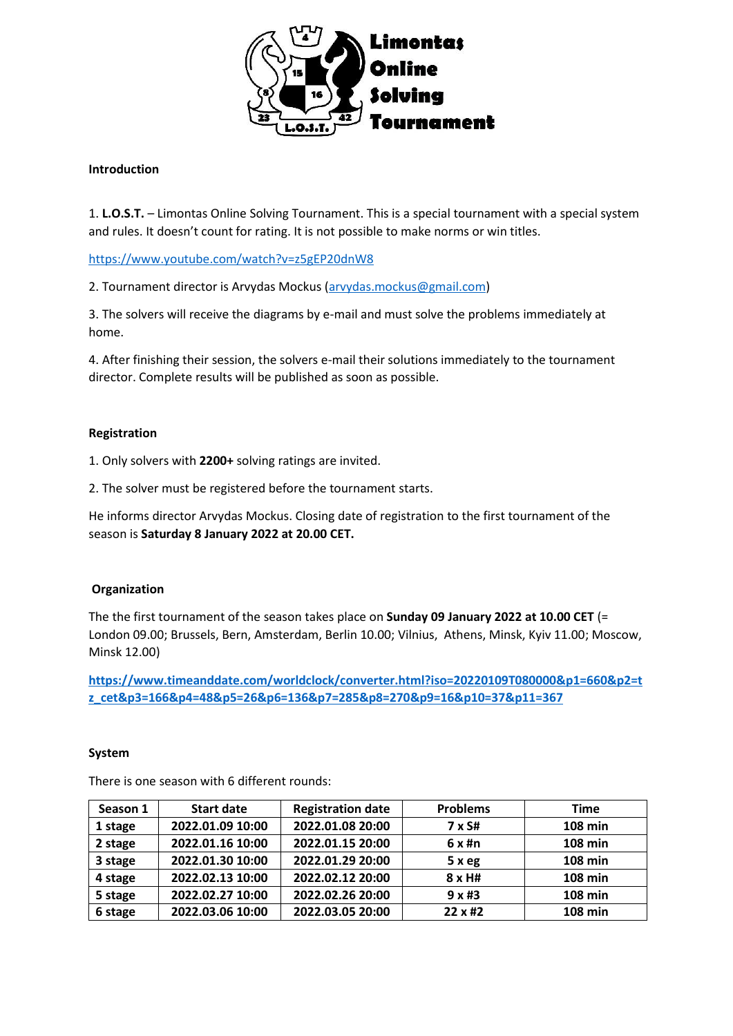

## **Introduction**

1. **L.O.S.T.** – Limontas Online Solving Tournament. This is a special tournament with a special system and rules. It doesn't count for rating. It is not possible to make norms or win titles.

<https://www.youtube.com/watch?v=z5gEP20dnW8>

2. Tournament director is Arvydas Mockus [\(arvydas.mockus@gmail.com\)](mailto:arvydas.mockus@gmail.com)

3. The solvers will receive the diagrams by e-mail and must solve the problems immediately at home.

4. After finishing their session, the solvers e-mail their solutions immediately to the tournament director. Complete results will be published as soon as possible.

### **Registration**

1. Only solvers with **2200+** solving ratings are invited.

2. The solver must be registered before the tournament starts.

He informs director Arvydas Mockus. Closing date of registration to the first tournament of the season is **Saturday 8 January 2022 at 20.00 CET.**

### **Organization**

The the first tournament of the season takes place on **Sunday 09 January 2022 at 10.00 CET** (= London 09.00; Brussels, Bern, Amsterdam, Berlin 10.00; Vilnius, Athens, Minsk, Kyiv 11.00; Moscow, Minsk 12.00)

**[https://www.timeanddate.com/worldclock/converter.html?iso=20220109T080000&p1=660&p2=t](https://www.timeanddate.com/worldclock/converter.html?iso=20220109T080000&p1=660&p2=tz_cet&p3=166&p4=48&p5=26&p6=136&p7=285&p8=270&p9=16&p10=37&p11=367) [z\\_cet&p3=166&p4=48&p5=26&p6=136&p7=285&p8=270&p9=16&p10=37&p11=367](https://www.timeanddate.com/worldclock/converter.html?iso=20220109T080000&p1=660&p2=tz_cet&p3=166&p4=48&p5=26&p6=136&p7=285&p8=270&p9=16&p10=37&p11=367)**

### **System**

There is one season with 6 different rounds:

| Season 1 | <b>Start date</b> | <b>Registration date</b> | <b>Problems</b> | Time           |  |
|----------|-------------------|--------------------------|-----------------|----------------|--|
| 1 stage  | 2022.01.09 10:00  | 2022.01.08 20:00         | 7 x S#          | <b>108 min</b> |  |
| 2 stage  | 2022.01.16 10:00  | 2022.01.15 20:00         | $6x$ #n         | <b>108 min</b> |  |
| 3 stage  | 2022.01.30 10:00  | 2022.01.29 20:00         | 5 x eg          | <b>108 min</b> |  |
| 4 stage  | 2022.02.13 10:00  | 2022.02.12 20:00         | $8 \times H#$   | <b>108 min</b> |  |
| 5 stage  | 2022.02.27 10:00  | 2022.02.26 20:00         | 9xH3            | <b>108 min</b> |  |
| 6 stage  | 2022.03.06 10:00  | 2022.03.05 20:00         | $22 \times #2$  | <b>108 min</b> |  |